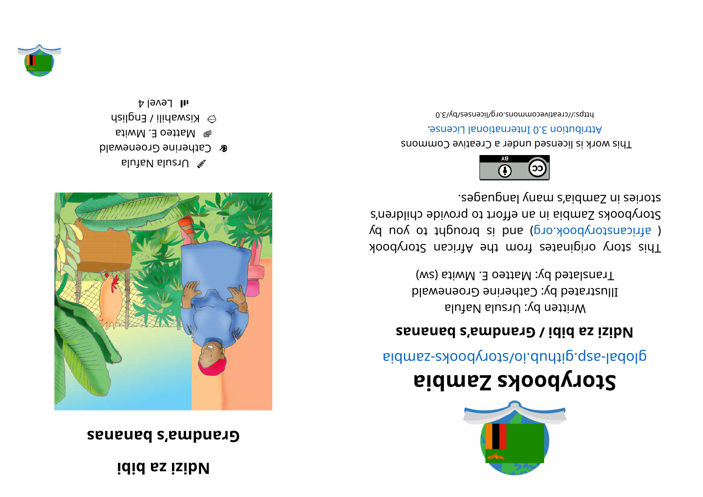## **i** did as isib<sub>N</sub>

## **sananabs' a mdnar G**



- alutable luzr $\cup$
- **& Catherine Groenewald**  $\mathfrak{spin}$  Matteo E. Mwita
- $\odot$  Kiswahili / English
- $1$  all  $\,$  Level 4



## **ai b maZ skoobyr otS**

aidmss- abodynot sloi. during. q za bid

## **sananabs' a mdnar G/ i bi b azi zi d N**

Written by: Ursula Nafula Illustrated by: Catherine Groenewald Translated by: Matteo E. Mwita (sw)

kood yot a kiginates from the African Storybook ( africanstorybook.org) and is brought to you by Storybooks Zandia in an effort to provide children's segaugnal ynam s'sidmsS ni esiyote.



This work is licensed under a Creative Commons . esnecial lanoit anternational License.

bttps://creativecommons.org/licenses/by/3.0

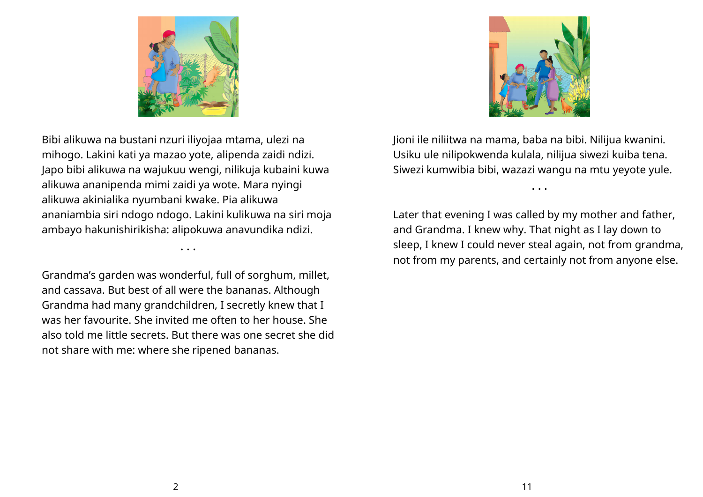



Bibi alikuwa na bustani nzuri iliyojaa mtama, ulezi na mihogo. Lakini kati ya mazao yote, alipenda zaidi ndizi. Japo bibi alikuwa na wajukuu wengi, nilikuja kubaini kuwa alikuwa ananipenda mimi zaidi ya wote. Mara nyingi alikuwa akinialika nyumbani kwake. Pia alikuwa ananiambia siri ndogo ndogo. Lakini kulikuwa na siri moja ambayo hakunishirikisha: alipokuwa anavundika ndizi.

Grandma's garden was wonderful, full of sorghum, millet, and cassava. But best of all were the bananas. Although Grandma had many grandchildren, I secretly knew that I was her favourite. She invited me often to her house. She also told me little secrets. But there was one secret she did not share with me: where she ripened bananas.

• • •

Jioni ile niliitwa na mama, baba na bibi. Nilijua kwanini. Usiku ule nilipokwenda kulala, nilijua siwezi kuiba tena. Siwezi kumwibia bibi, wazazi wangu na mtu yeyote yule.

• • •

Later that evening I was called by my mother and father, and Grandma. I knew why. That night as I lay down to sleep, I knew I could never steal again, not from grandma, not from my parents, and certainly not from anyone else.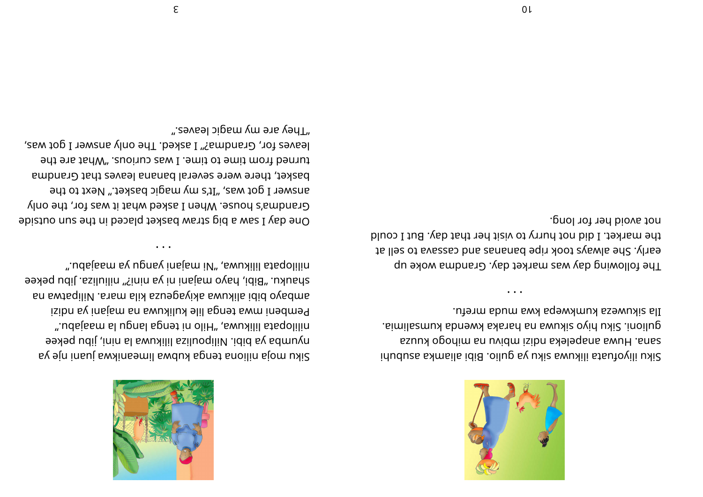

Ila sikuweza kumkwepa kwa muda mrefu. eimilisamu sbnew skarst sn swuyis ovid uxic .inoilup. sanał opodim sn uvidm isibn słelegons swuH .sns siku iliyofuati ilikuwa siku ya gulio. Bibi aliamka asubuhi

not avoid her for long. the market. I did not hurry to visit her that day. But I could to llez of avaszas bna zananad eqin xoot zyawla ed2 .yhae The following day was market day. Grandma woke up

".e9vsəl ɔipɕm ɣm əาɕ ɣənT leaves for, Grandma?" I asked. The only answer I got was, turned from time to time. I was curious. "What are the basket, there were several banana leaves that Grandma answer I got was, "It's my magic basket." Next to the Grandma's house. When I asked what it was for, the only One day I saw a big straw basket placed in the sun outside

spankn: "Bibi, hayo majani ni ya nini?" niliuliza. Jibu pekee an swtsqiliV .sasm slix ssuegsvixs swuxils idid ovedma

".udsisam sv upnsv insism iV" awuxilil stagolilin

isibn sy insism sn swuxilux elil spnet swm inedmed

".udsissm sl upnsl spnet in oliH", swuxilil stsqolilin

nyunba ya bibi. Nilipouliza lilikuwa la nini, jibu pekee

sv sin insuj swalinsemil swdux spnet snoilin sjom uxic

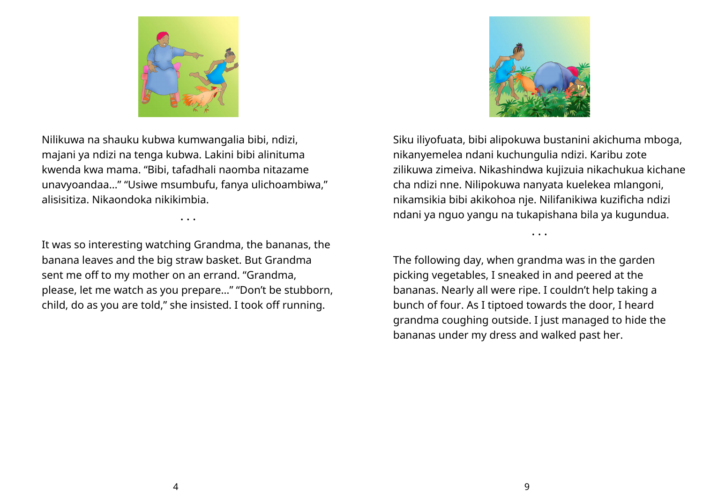

Nilikuwa na shauku kubwa kumwangalia bibi, ndizi, majani ya ndizi na tenga kubwa. Lakini bibi alinituma kwenda kwa mama. "Bibi, tafadhali naomba nitazame unavyoandaa…" "Usiwe msumbufu, fanya ulichoambiwa," alisisitiza. Nikaondoka nikikimbia.

• • •

It was so interesting watching Grandma, the bananas, the banana leaves and the big straw basket. But Grandma sent me off to my mother on an errand. "Grandma, please, let me watch as you prepare…" "Don't be stubborn, child, do as you are told," she insisted. I took off running.



Siku iliyofuata, bibi alipokuwa bustanini akichuma mboga, nikanyemelea ndani kuchungulia ndizi. Karibu zote zilikuwa zimeiva. Nikashindwa kujizuia nikachukua kichane cha ndizi nne. Nilipokuwa nanyata kuelekea mlangoni, nikamsikia bibi akikohoa nje. Nilifanikiwa kuzificha ndizi ndani ya nguo yangu na tukapishana bila ya kugundua.

• • •

The following day, when grandma was in the garden picking vegetables, I sneaked in and peered at the bananas. Nearly all were ripe. I couldn't help taking a bunch of four. As I tiptoed towards the door, I heard grandma coughing outside. I just managed to hide the bananas under my dress and walked past her.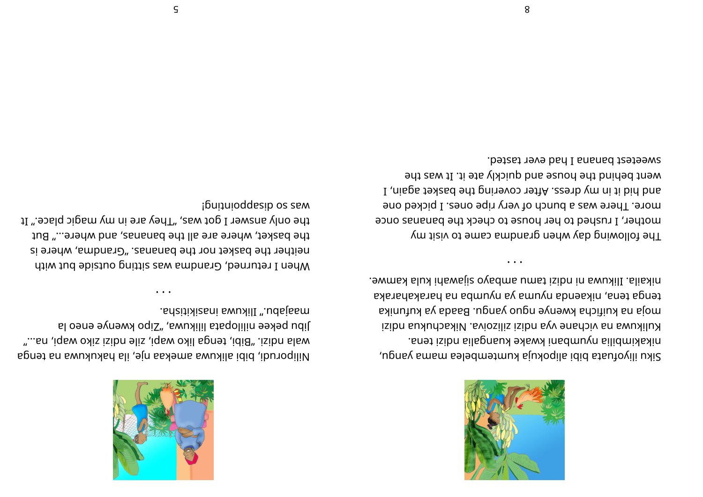

siku iliyofuata bibi ailoyda kumtembelea mama yangu, nikakimbilia nyumbani kwake kuangalia naip maizi tena. isibn aukhchaki Aviozilis isibn ayv ənahəiy an awukil uK aki unja baki nuf uk adaa Adaab. ugna ya kufunika akar ahakar ah an ab muyn ay <sup>a</sup> muyn adneaki n, anet agnet . e w may lake is opported way izibu in a wukili . alis kin

• • •

The following day when grand as may be needed. mother, I rushed to her house to check the bananas once more. There was a bunch of very ripe ones. I picked one and hid it in my dress. After covering the basket again, I went behind the house and quickly ate it. It was the sweetest banana I had ever tasted.



agnet an <sup>a</sup> wukukah ali , ej n aake ma <sup>a</sup> wukil ai bi b,i dur opili N " ... an, iq bw oxis isibn elis, iq aw oxil agnet, idi B". .isibn al a wa a wa bi a wa a wa wa a wa a wa wa ku al oənə əynəm oqiz", awukilil ataqolilin əəxəq udil . adziti ki sani swukilI ". udsjasm

• • •

when I returned, Grandna was sitting outside but with si en ehther die pasket nor the bananas." Sanana, where is the basket, where are all the bananas, and where..." But the only answer I got was, "They are in my magic place." It ¡buiquioddesip os sem

5